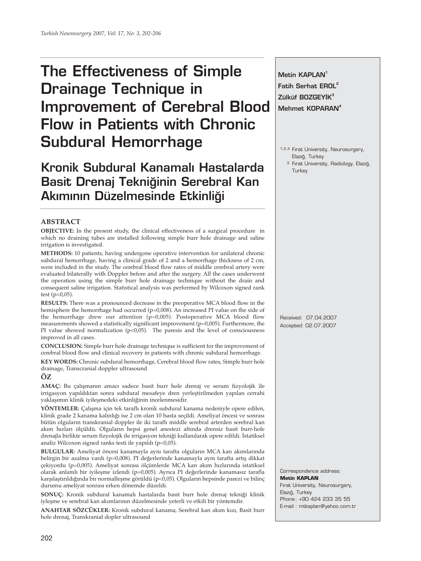# **The Effectiveness of Simple Drainage Technique in Improvement of Cerebral Blood Flow in Patients with Chronic Subdural Hemorrhage**

**Kronik Subdural Kanamal› Hastalarda Basit Drenaj Tekniğinin Serebral Kan Akımının Düzelmesinde Etkinliği** 

# **ABSTRACT**

**OBJECTIVE:** In the present study, the clinical effectiveness of a surgical procedure in which no draining tubes are installed following simple burr hole drainage and saline irrigation is investigated.

**METHODS:** 10 patients, having undergone operative intervention for unilateral chronic subdural hemorrhage, having a clinical grade of 2 and a hemorrhage thickness of 2 cm, were included in the study. The cerebral blood flow rates of middle cerebral artery were evaluated bilaterally with Doppler before and after the surgery. All the cases underwent the operation using the simple burr hole drainage technique without the drain and consequent saline irrigation. Statistical analysis was performed by Wilcoxon signed rank test ( $p<0,05$ ).

**RESULTS:** There was a pronounced decrease in the preoperative MCA blood flow in the hemisphere the hemorrhage had occurred (p=0,008). An increased PI value on the side of the hemorrhage drew our attention (p=0,005). Postoperative MCA blood flow measurements showed a statistically significant improvement (p=0,005). Furthermore, the PI value showed normalization ( $p<0,05$ ). The paresis and the level of consciousness improved in all cases.

**CONCLUSION:** Simple burr hole drainage technique is sufficient for the improvement of cerebral blood flow and clinical recovery in patients with chronic subdural hemorrhage.

**KEY WORDS:** Chronic subdural hemorrhage, Cerebral blood flow rates, Simple burr hole drainage, Transcranial doppler ultrasound

## **ÖZ**

**AMAÇ:** Bu çalışmanın amacı sadece basit burr hole drenaj ve serum fizyolojik ile irrigasyon yapıldıktan sonra subdural mesafeye dren yerleştirilmeden yapılan cerrahi yaklaşımın klinik iyileşmedeki etkinliğinin incelenmesidir.

**YÖNTEMLER:** Çalışma için tek taraflı kronik subdural kanama nedeniyle opere edilen, klinik grade 2 kanama kalınlığı ise 2 cm olan 10 hasta seçildi. Ameliyat öncesi ve sonrası bütün olguların transkranial doppler ile iki taraflı middle serebral arterden serebral kan akım hızları ölçüldü. Olguların hepsi genel anestezi altında drensiz basit burr-hole drenajla birlikte serum fizyolojik ile irrigasyon tekniği kullanılarak opere edildi. İstatiksel analiz Wilcoxon signed ranks testi ile yapıldı (p<0,05).

**BULGULAR:** Ameliyat öncesi kanamayla aynı tarafta olguların MCA kan akımlarında belirgin bir azalma vardı (p=0,008). PI değerlerinde kanamayla aynı tarafta artış dikkat çekiyordu (p=0,005). Ameliyat sonrası ölçümlerde MCA kan akım hızlarında istatiksel olarak anlamlı bir iyileşme izlendi (p=0,005). Ayrıca PI değerlerinde kanamasız tarafla karşılaştırıldığında bir normalleşme görüldü (p<0,05). Olguların hepsinde parezi ve bilinç durumu ameliyat sonrası erken dönemde düzeldi.

**SONUÇ:** Kronik subdural kanamalı hastalarda basit burr hole drenaj tekniği klinik iyleşme ve serebral kan akımlarının düzelmesinde yeterli ve etkili bir yöntemdir.

**ANAHTAR SÖZCÜKLER:** Kronik subdural kanama, Serebral kan akım kızı, Basit burr hole drenaj, Transkranial dopler ultrasound

Metin **KAPLAN**<sup>1</sup> **Fatih Serhat EROL<sup>2</sup> Zülküf BOZGEYİK<sup>3</sup> Mehmet KOPARAN4**

1,2,4 Firat University, Neurosurgery, Elazığ, Turkey

<sup>3</sup> Fırat University, Radiology, Elazığ, **Turkey** 

Received: 07.04.2007 Accepted: 02.07.2007

Correspondence address: **Metin KAPLAN** Firat University, Neurosurgery, Elazığ, Turkey Phone: +90 424 233 35 55 E-mail : mtkaplan@yahoo.com.tr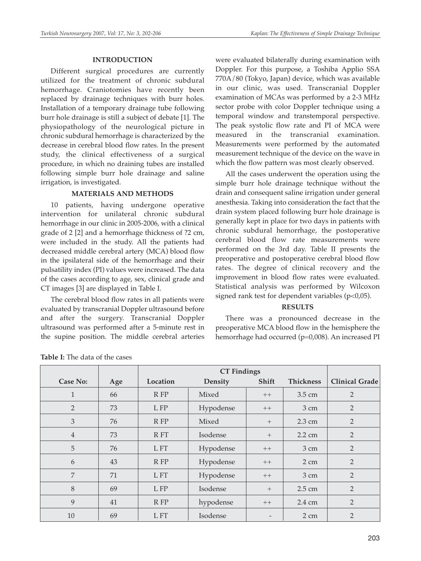#### **INTRODUCTION**

Different surgical procedures are currently utilized for the treatment of chronic subdural hemorrhage. Craniotomies have recently been replaced by drainage techniques with burr holes. Installation of a temporary drainage tube following burr hole drainage is still a subject of debate [1]. The physiopathology of the neurological picture in chronic subdural hemorrhage is characterized by the decrease in cerebral blood flow rates. In the present study, the clinical effectiveness of a surgical procedure, in which no draining tubes are installed following simple burr hole drainage and saline irrigation, is investigated.

#### **MATERIALS AND METHODS**

10 patients, having undergone operative intervention for unilateral chronic subdural hemorrhage in our clinic in 2005-2006, with a clinical grade of 2 [2] and a hemorrhage thickness of ?2 cm, were included in the study. All the patients had decreased middle cerebral artery (MCA) blood flow in the ipsilateral side of the hemorrhage and their pulsatility index (PI) values were increased. The data of the cases according to age, sex, clinical grade and CT images [3] are displayed in Table I.

The cerebral blood flow rates in all patients were evaluated by transcranial Doppler ultrasound before and after the surgery. Transcranial Doppler ultrasound was performed after a 5-minute rest in the supine position. The middle cerebral arteries were evaluated bilaterally during examination with Doppler. For this purpose, a Toshiba Applio SSA 770A/80 (Tokyo, Japan) device, which was available in our clinic, was used. Transcranial Doppler examination of MCAs was performed by a 2-3 MHz sector probe with color Doppler technique using a temporal window and transtemporal perspective. The peak systolic flow rate and PI of MCA were measured in the transcranial examination. Measurements were performed by the automated measurement technique of the device on the wave in which the flow pattern was most clearly observed.

All the cases underwent the operation using the simple burr hole drainage technique without the drain and consequent saline irrigation under general anesthesia. Taking into consideration the fact that the drain system placed following burr hole drainage is generally kept in place for two days in patients with chronic subdural hemorrhage, the postoperative cerebral blood flow rate measurements were performed on the 3rd day. Table II presents the preoperative and postoperative cerebral blood flow rates. The degree of clinical recovery and the improvement in blood flow rates were evaluated. Statistical analysis was performed by Wilcoxon signed rank test for dependent variables (p<0,05).

#### **RESULTS**

There was a pronounced decrease in the preoperative MCA blood flow in the hemisphere the hemorrhage had occurred (p=0,008). An increased PI

|                |     | <b>CT Findings</b>  |                    |                            |                  |                |  |  |
|----------------|-----|---------------------|--------------------|----------------------------|------------------|----------------|--|--|
| Case No:       | Age | Location<br>Density |                    | Shift                      | <b>Thickness</b> | Clinical Grade |  |  |
| 1              | 66  | R FP                | Mixed              | $++$                       | 3.5 cm           | $\overline{2}$ |  |  |
| $\overline{2}$ | 73  | L FP                | Hypodense          | $++$                       | 3 cm             | $\overline{2}$ |  |  |
| $\mathfrak{Z}$ | 76  | $R$ $FP$            | Mixed              | $2.3 \text{ cm}$<br>$^{+}$ |                  | 2              |  |  |
| $\overline{4}$ | 73  | R FT                | Isodense<br>$^{+}$ |                            | $2.2 \text{ cm}$ | $\overline{2}$ |  |  |
| 5              | 76  | L FT                | Hypodense          | $++$                       | $3 \text{ cm}$   | 2              |  |  |
| 6              | 43  | R FP                | Hypodense          | $++$                       | $2 \text{ cm}$   | $\overline{2}$ |  |  |
| 7              | 71  | L FT                | Hypodense          | $++$                       | $3 \text{ cm}$   | $\overline{2}$ |  |  |
| 8              | 69  | L FP                | Isodense<br>$^{+}$ |                            | 2.5 cm           | $\overline{2}$ |  |  |
| 9              | 41  | $R$ $FP$            | hypodense          | $++$                       | 2.4 cm           | $\overline{2}$ |  |  |
| 10             | 69  | L FT                | Isodense           |                            | $2 \text{ cm}$   | $\overline{2}$ |  |  |

**Table I:** The data of the cases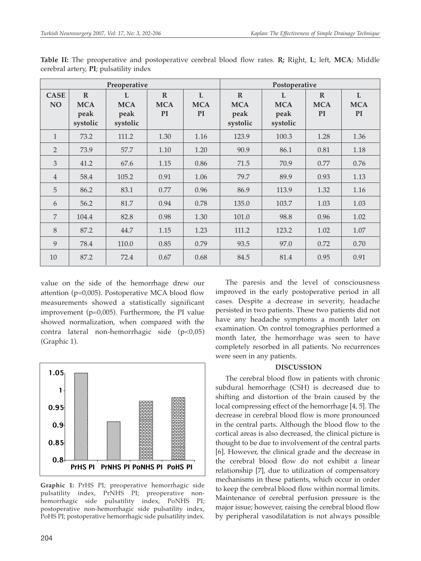| Preoperative             |                                                |                                                  |                                        |                              | Postoperative                                  |                                     |                                        |                              |
|--------------------------|------------------------------------------------|--------------------------------------------------|----------------------------------------|------------------------------|------------------------------------------------|-------------------------------------|----------------------------------------|------------------------------|
| <b>CASE</b><br><b>NO</b> | $\mathbb{R}$<br><b>MCA</b><br>peak<br>systolic | $\mathbf{I}$ .<br><b>MCA</b><br>peak<br>systolic | $\mathbf R$<br><b>MCA</b><br><b>PI</b> | L<br><b>MCA</b><br><b>PI</b> | $\mathbb{R}$<br><b>MCA</b><br>peak<br>systolic | L<br><b>MCA</b><br>peak<br>systolic | $\mathbf R$<br><b>MCA</b><br><b>PI</b> | L<br><b>MCA</b><br><b>PI</b> |
| $\mathbf{1}$             | 73.2                                           | 111.2                                            | 1.30                                   | 1.16                         | 123.9                                          | 100.3                               | 1.28                                   | 1.36                         |
| $\overline{2}$           | 73.9                                           | 57.7                                             | 1.10                                   | 1.20                         | 90.9                                           | 86.1                                | 0.81                                   | 1.18                         |
| 3                        | 41.2                                           | 67.6                                             | 1.15                                   | 0.86                         | 71.5                                           | 70.9                                | 0.77                                   | 0.76                         |
| $\overline{4}$           | 58.4                                           | 105.2                                            | 0.91                                   | 1.06                         | 79.7                                           | 89.9                                | 0.93                                   | 1.13                         |
| 5                        | 86.2                                           | 83.1                                             | 0.77                                   | 0.96                         | 86.9                                           | 113.9                               | 1.32                                   | 1.16                         |
| 6                        | 56.2                                           | 81.7                                             | 0.94                                   | 0.78                         | 135.0                                          | 103.7                               | 1.03                                   | 1.03                         |
| 7                        | 104.4                                          | 82.8                                             | 0.98                                   | 1.30                         | 101.0                                          | 98.8                                | 0.96                                   | 1.02                         |
| 8                        | 87.2                                           | 44.7                                             | 1.15                                   | 1.23                         | 111.2                                          | 123.2                               | 1.02                                   | 1.07                         |
| 9                        | 78.4                                           | 110.0                                            | 0.85                                   | 0.79                         | 93.5                                           | 97.0                                | 0.72                                   | 0.70                         |
| 10                       | 87.2                                           | 72.4                                             | 0.67                                   | 0.68                         | 84.5                                           | 81.4                                | 0.95                                   | 0.91                         |

**Table II:** The preoperative and postoperative cerebral blood flow rates. **R;** Right, **L**; left, **MCA**; Middle cerebral artery, **PI**; pulsatility index

value on the side of the hemorrhage drew our attention ( $p=0,005$ ). Postoperative MCA blood flow measurements showed a statistically significant improvement (p=0,005). Furthermore, the PI value showed normalization, when compared with the contra lateral non-hemorrhagic side (p<0,05) (Graphic 1).



**Graphic 1:** PrHS PI; preoperative hemorrhagic side pulsatility index, PrNHS PI; preoperative nonhemorrhagic side pulsatility index, PoNHS PI; postoperative non-hemorrhagic side pulsatility index, PoHS PI; postoperative hemorrhagic side pulsatility index.

The paresis and the level of consciousness improved in the early postoperative period in all cases. Despite a decrease in severity, headache persisted in two patients. These two patients did not have any headache symptoms a month later on examination. On control tomographies performed a month later, the hemorrhage was seen to have completely resorbed in all patients. No recurrences were seen in any patients.

## **DISCUSSION**

The cerebral blood flow in patients with chronic subdural hemorrhage (CSH) is decreased due to shifting and distortion of the brain caused by the local compressing effect of the hemorrhage [4, 5]. The decrease in cerebral blood flow is more pronounced in the central parts. Although the blood flow to the cortical areas is also decreased, the clinical picture is thought to be due to involvement of the central parts [6]. However, the clinical grade and the decrease in the cerebral blood flow do not exhibit a linear relationship [7], due to utilization of compensatory mechanisms in these patients, which occur in order to keep the cerebral blood flow within normal limits. Maintenance of cerebral perfusion pressure is the major issue; however, raising the cerebral blood flow by peripheral vasodilatation is not always possible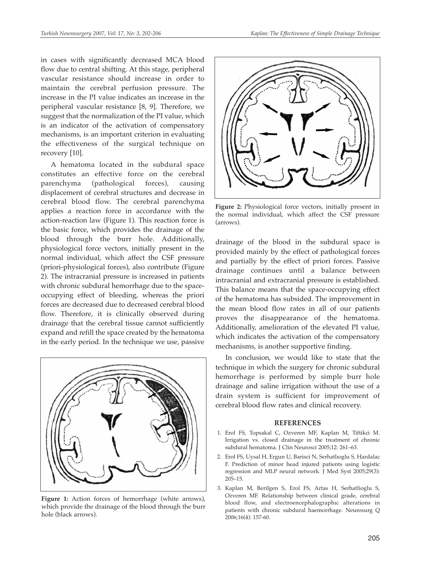in cases with significantly decreased MCA blood flow due to central shifting. At this stage, peripheral vascular resistance should increase in order to maintain the cerebral perfusion pressure. The increase in the PI value indicates an increase in the peripheral vascular resistance [8, 9]. Therefore, we suggest that the normalization of the PI value, which is an indicator of the activation of compensatory mechanisms, is an important criterion in evaluating the effectiveness of the surgical technique on recovery [10].

A hematoma located in the subdural space constitutes an effective force on the cerebral parenchyma (pathological forces), causing displacement of cerebral structures and decrease in cerebral blood flow. The cerebral parenchyma applies a reaction force in accordance with the action-reaction law (Figure 1). This reaction force is the basic force, which provides the drainage of the blood through the burr hole. Additionally, physiological force vectors, initially present in the normal individual, which affect the CSF pressure (priori-physiological forces), also contribute (Figure 2). The intracranial pressure is increased in patients with chronic subdural hemorrhage due to the spaceoccupying effect of bleeding, whereas the priori forces are decreased due to decreased cerebral blood flow. Therefore, it is clinically observed during drainage that the cerebral tissue cannot sufficiently expand and refill the space created by the hematoma in the early period. In the technique we use, passive



Figure 1: Action forces of hemorrhage (white arrows), which provide the drainage of the blood through the burr hole (black arrows).



**Figure 2:** Physiological force vectors, initially present in the normal individual, which affect the CSF pressure (arrows).

drainage of the blood in the subdural space is provided mainly by the effect of pathological forces and partially by the effect of priori forces. Passive drainage continues until a balance between intracranial and extracranial pressure is established. This balance means that the space-occupying effect of the hematoma has subsided. The improvement in the mean blood flow rates in all of our patients proves the disappearance of the hematoma. Additionally, amelioration of the elevated PI value, which indicates the activation of the compensatory mechanisms, is another supportive finding.

In conclusion, we would like to state that the technique in which the surgery for chronic subdural hemorrhage is performed by simple burr hole drainage and saline irrigation without the use of a drain system is sufficient for improvement of cerebral blood flow rates and clinical recovery.

#### **REFERENCES**

- 1. Erol FS, Topsakal C, Ozveren MF, Kaplan M, Tiftikci M. Irrigation vs. closed drainage in the treatment of chronic subdural hematoma. J Clin Neurosci 2005;12: 261–63.
- 2. Erol FS, Uysal H, Ergun U, Barisci N, Serhatlıoglu S, Hardalac F. Prediction of minor head injured patients using logistic regression and MLP neural network. J Med Syst 2005;29(3): 205–15.
- 3. Kaplan M, Berilgen S, Erol FS, Artas H, Serhatlioglu S, Ozveren MF. Relationship between clinical grade, cerebral blood flow, and electroencephalographıc alterations in patients with chronic subdural haemorrhage. Neurosurg Q 2006;16(4): 157-60.